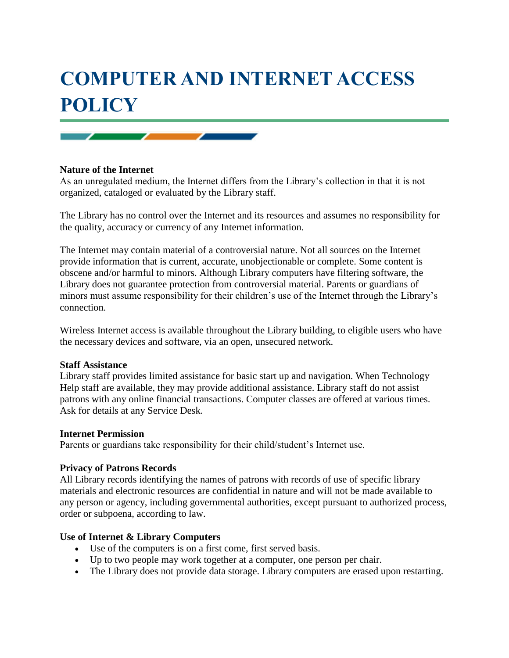# **COMPUTER AND INTERNET ACCESS POLICY**

## **Nature of the Internet**

As an unregulated medium, the Internet differs from the Library's collection in that it is not organized, cataloged or evaluated by the Library staff.

The Library has no control over the Internet and its resources and assumes no responsibility for the quality, accuracy or currency of any Internet information.

The Internet may contain material of a controversial nature. Not all sources on the Internet provide information that is current, accurate, unobjectionable or complete. Some content is obscene and/or harmful to minors. Although Library computers have filtering software, the Library does not guarantee protection from controversial material. Parents or guardians of minors must assume responsibility for their children's use of the Internet through the Library's connection.

Wireless Internet access is available throughout the Library building, to eligible users who have the necessary devices and software, via an open, unsecured network.

#### **Staff Assistance**

Library staff provides limited assistance for basic start up and navigation. When Technology Help staff are available, they may provide additional assistance. Library staff do not assist patrons with any online financial transactions. Computer classes are offered at various times. Ask for details at any Service Desk.

#### **Internet Permission**

Parents or guardians take responsibility for their child/student's Internet use.

#### **Privacy of Patrons Records**

All Library records identifying the names of patrons with records of use of specific library materials and electronic resources are confidential in nature and will not be made available to any person or agency, including governmental authorities, except pursuant to authorized process, order or subpoena, according to law.

### **Use of Internet & Library Computers**

- Use of the computers is on a first come, first served basis.
- Up to two people may work together at a computer, one person per chair.
- The Library does not provide data storage. Library computers are erased upon restarting.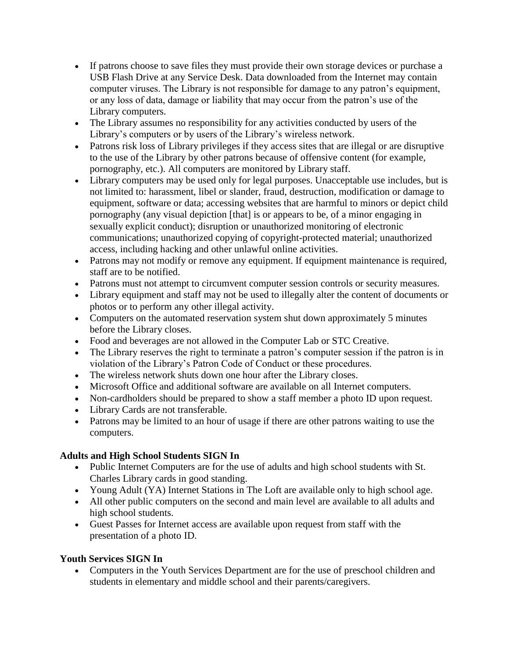- If patrons choose to save files they must provide their own storage devices or purchase a USB Flash Drive at any Service Desk. Data downloaded from the Internet may contain computer viruses. The Library is not responsible for damage to any patron's equipment, or any loss of data, damage or liability that may occur from the patron's use of the Library computers.
- The Library assumes no responsibility for any activities conducted by users of the Library's computers or by users of the Library's wireless network.
- Patrons risk loss of Library privileges if they access sites that are illegal or are disruptive to the use of the Library by other patrons because of offensive content (for example, pornography, etc.). All computers are monitored by Library staff.
- Library computers may be used only for legal purposes. Unacceptable use includes, but is not limited to: harassment, libel or slander, fraud, destruction, modification or damage to equipment, software or data; accessing websites that are harmful to minors or depict child pornography (any visual depiction [that] is or appears to be, of a minor engaging in sexually explicit conduct); disruption or unauthorized monitoring of electronic communications; unauthorized copying of copyright-protected material; unauthorized access, including hacking and other unlawful online activities.
- Patrons may not modify or remove any equipment. If equipment maintenance is required, staff are to be notified.
- Patrons must not attempt to circumvent computer session controls or security measures.
- Library equipment and staff may not be used to illegally alter the content of documents or photos or to perform any other illegal activity.
- Computers on the automated reservation system shut down approximately 5 minutes before the Library closes.
- Food and beverages are not allowed in the Computer Lab or STC Creative.
- The Library reserves the right to terminate a patron's computer session if the patron is in violation of the Library's Patron Code of Conduct or these procedures.
- The wireless network shuts down one hour after the Library closes.
- Microsoft Office and additional software are available on all Internet computers.
- Non-cardholders should be prepared to show a staff member a photo ID upon request.
- Library Cards are not transferable.
- Patrons may be limited to an hour of usage if there are other patrons waiting to use the computers.

## **Adults and High School Students SIGN In**

- Public Internet Computers are for the use of adults and high school students with St. Charles Library cards in good standing.
- Young Adult (YA) Internet Stations in The Loft are available only to high school age.
- All other public computers on the second and main level are available to all adults and high school students.
- Guest Passes for Internet access are available upon request from staff with the presentation of a photo ID.

# **Youth Services SIGN In**

 Computers in the Youth Services Department are for the use of preschool children and students in elementary and middle school and their parents/caregivers.